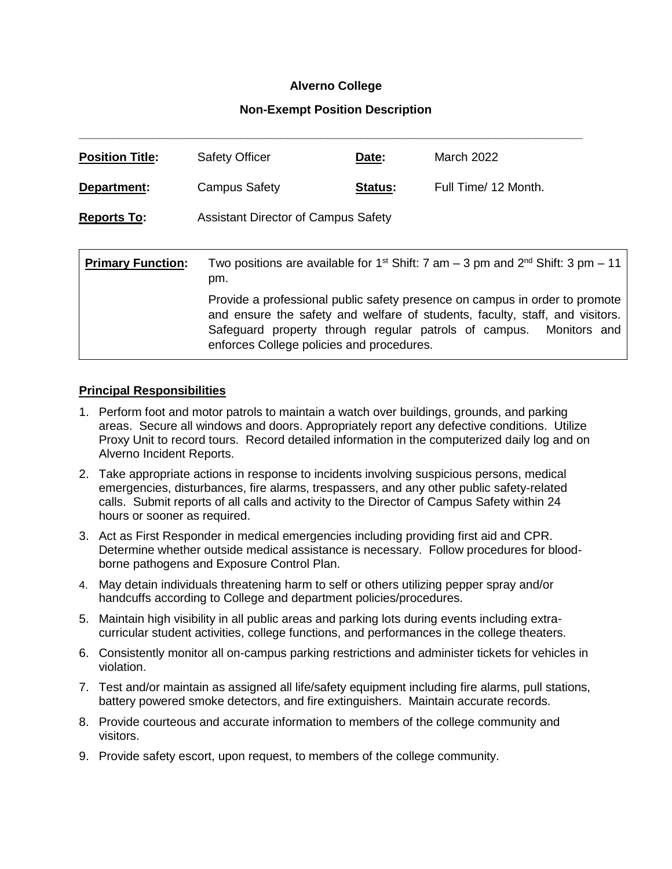## **Alverno College**

## **Non-Exempt Position Description**

| <b>Position Title:</b>   | <b>Safety Officer</b>                                                                                                                                                                                                                                                                                                                                                                     | Date:   | March 2022           |
|--------------------------|-------------------------------------------------------------------------------------------------------------------------------------------------------------------------------------------------------------------------------------------------------------------------------------------------------------------------------------------------------------------------------------------|---------|----------------------|
| Department:              | <b>Campus Safety</b>                                                                                                                                                                                                                                                                                                                                                                      | Status: | Full Time/ 12 Month. |
| <b>Reports To:</b>       | <b>Assistant Director of Campus Safety</b>                                                                                                                                                                                                                                                                                                                                                |         |                      |
|                          |                                                                                                                                                                                                                                                                                                                                                                                           |         |                      |
| <b>Primary Function:</b> | Two positions are available for 1 <sup>st</sup> Shift: 7 am – 3 pm and $2^{nd}$ Shift: 3 pm – 11<br>pm.<br>Provide a professional public safety presence on campus in order to promote<br>and ensure the safety and welfare of students, faculty, staff, and visitors.<br>Safeguard property through regular patrols of campus. Monitors and<br>enforces College policies and procedures. |         |                      |
|                          |                                                                                                                                                                                                                                                                                                                                                                                           |         |                      |

### **Principal Responsibilities**

- 1. Perform foot and motor patrols to maintain a watch over buildings, grounds, and parking areas. Secure all windows and doors. Appropriately report any defective conditions. Utilize Proxy Unit to record tours. Record detailed information in the computerized daily log and on Alverno Incident Reports.
- 2. Take appropriate actions in response to incidents involving suspicious persons, medical emergencies, disturbances, fire alarms, trespassers, and any other public safety-related calls. Submit reports of all calls and activity to the Director of Campus Safety within 24 hours or sooner as required.
- 3. Act as First Responder in medical emergencies including providing first aid and CPR. Determine whether outside medical assistance is necessary. Follow procedures for bloodborne pathogens and Exposure Control Plan.
- 4. May detain individuals threatening harm to self or others utilizing pepper spray and/or handcuffs according to College and department policies/procedures.
- 5. Maintain high visibility in all public areas and parking lots during events including extracurricular student activities, college functions, and performances in the college theaters.
- 6. Consistently monitor all on-campus parking restrictions and administer tickets for vehicles in violation.
- 7. Test and/or maintain as assigned all life/safety equipment including fire alarms, pull stations, battery powered smoke detectors, and fire extinguishers. Maintain accurate records.
- 8. Provide courteous and accurate information to members of the college community and visitors.
- 9. Provide safety escort, upon request, to members of the college community.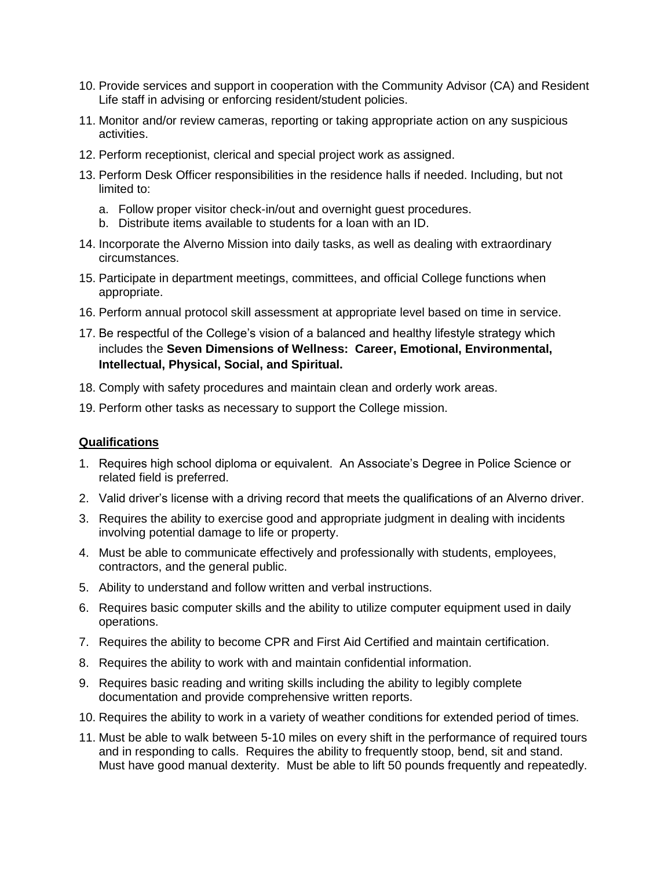- 10. Provide services and support in cooperation with the Community Advisor (CA) and Resident Life staff in advising or enforcing resident/student policies.
- 11. Monitor and/or review cameras, reporting or taking appropriate action on any suspicious activities.
- 12. Perform receptionist, clerical and special project work as assigned.
- 13. Perform Desk Officer responsibilities in the residence halls if needed. Including, but not limited to:
	- a. Follow proper visitor check-in/out and overnight guest procedures.
	- b. Distribute items available to students for a loan with an ID.
- 14. Incorporate the Alverno Mission into daily tasks, as well as dealing with extraordinary circumstances.
- 15. Participate in department meetings, committees, and official College functions when appropriate.
- 16. Perform annual protocol skill assessment at appropriate level based on time in service.
- 17. Be respectful of the College's vision of a balanced and healthy lifestyle strategy which includes the **Seven Dimensions of Wellness: Career, Emotional, Environmental, Intellectual, Physical, Social, and Spiritual.**
- 18. Comply with safety procedures and maintain clean and orderly work areas.
- 19. Perform other tasks as necessary to support the College mission.

#### **Qualifications**

- 1. Requires high school diploma or equivalent. An Associate's Degree in Police Science or related field is preferred.
- 2. Valid driver's license with a driving record that meets the qualifications of an Alverno driver.
- 3. Requires the ability to exercise good and appropriate judgment in dealing with incidents involving potential damage to life or property.
- 4. Must be able to communicate effectively and professionally with students, employees, contractors, and the general public.
- 5. Ability to understand and follow written and verbal instructions.
- 6. Requires basic computer skills and the ability to utilize computer equipment used in daily operations.
- 7. Requires the ability to become CPR and First Aid Certified and maintain certification.
- 8. Requires the ability to work with and maintain confidential information.
- 9. Requires basic reading and writing skills including the ability to legibly complete documentation and provide comprehensive written reports.
- 10. Requires the ability to work in a variety of weather conditions for extended period of times.
- 11. Must be able to walk between 5-10 miles on every shift in the performance of required tours and in responding to calls. Requires the ability to frequently stoop, bend, sit and stand. Must have good manual dexterity. Must be able to lift 50 pounds frequently and repeatedly.